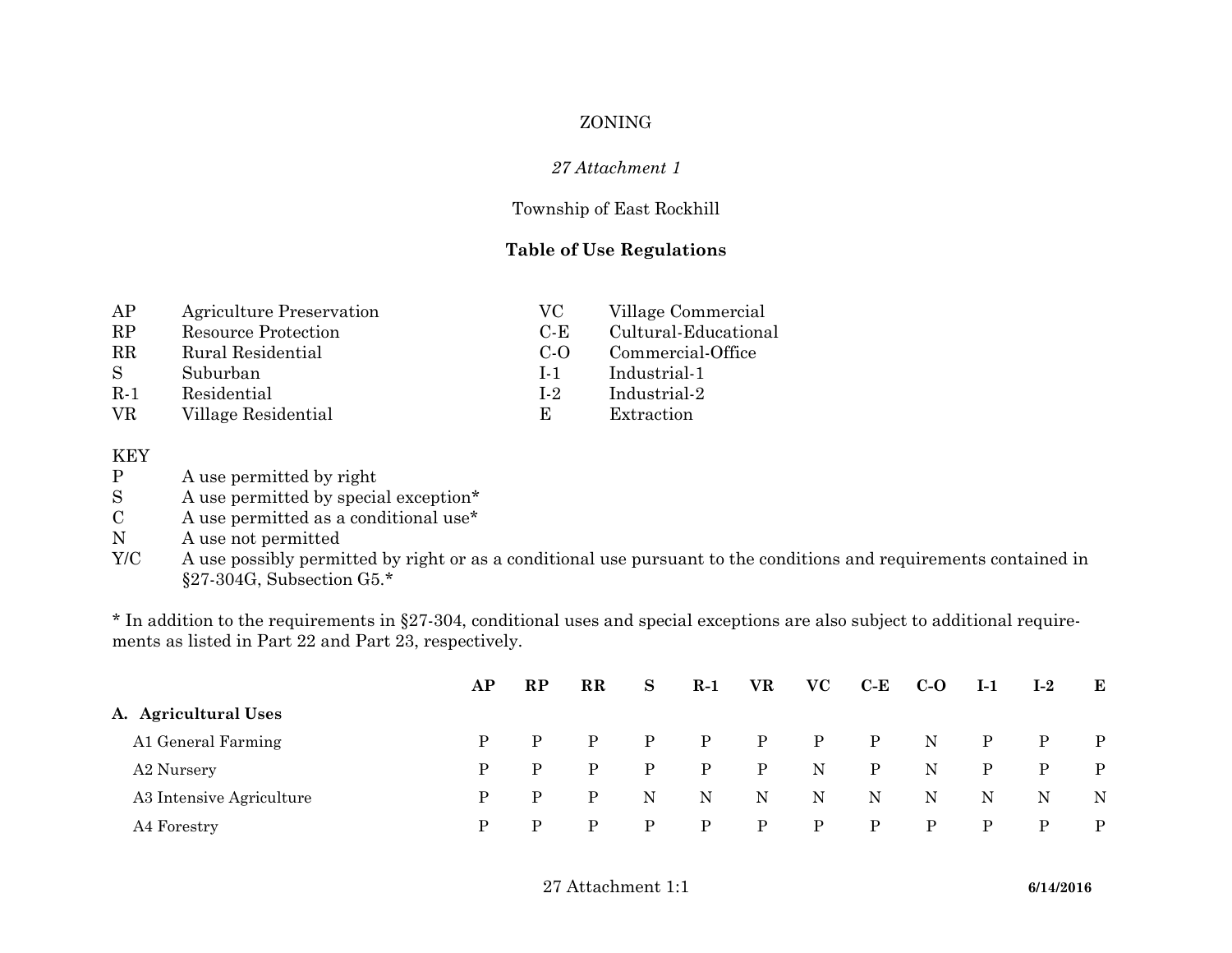## ZONING

#### *27 Attachment 1*

#### Township of East Rockhill

#### **Table of Use Regulations**

| AP          | Agriculture Preservation   | VC.            | Village Commercial   |
|-------------|----------------------------|----------------|----------------------|
| RP          | <b>Resource Protection</b> | $C-F$          | Cultural-Educational |
| $_{\rm RR}$ | Rural Residential          | $C-O$          | Commercial-Office    |
| -S          | Suburban                   | $1 - 1$        | Industrial-1         |
| $R-1$       | Residential                | L <sub>2</sub> | Industrial-2         |
| VR.         | Village Residential        | E              | Extraction           |

# ${\rm K EY} \atop {\rm P}$

- P A use permitted by right<br>S A use permitted by special
- A use permitted by special exception\*
- C A use permitted as a conditional use\*
- N A use not permitted
- Y/C A use possibly permitted by right or as a conditional use pursuant to the conditions and requirements contained in §27-304G, Subsection G5.\*

\* In addition to the requirements in §27-304, conditional uses and special exceptions are also subject to additional requirements as listed in Part 22 and Part 23, respectively.

|                          | AP | RP           | $\mathbf{R}$ | <sub>S</sub> | $R-1$        | VR.          | $\bf VC$     | $C-E$        | $C-O$       | $I-1$        | $I-2$        | $\mathbf{E}$ |
|--------------------------|----|--------------|--------------|--------------|--------------|--------------|--------------|--------------|-------------|--------------|--------------|--------------|
| A. Agricultural Uses     |    |              |              |              |              |              |              |              |             |              |              |              |
| A1 General Farming       |    | $\mathbf{P}$ | P            | $\mathbf{P}$ | $\mathbf{P}$ | $P$ $P$      |              | $\mathbf{P}$ | $\mathbf N$ | $\mathbf{P}$ | $\mathbf{P}$ | $\mathbf{P}$ |
| A2 Nursery               | P. | $\mathbf{P}$ | P            | P            | $\mathbf{P}$ | $\mathbf{P}$ | N            | P            | N           | P            | $\mathbf{P}$ | P            |
| A3 Intensive Agriculture | P. | $\mathbf{P}$ | P.           | N            | N            | N            | N            | N            | N           | $\mathbf N$  | N            | $\mathbf N$  |
| A4 Forestry              | P. | P.           | P            | P            | P            | $\mathbf{P}$ | $\mathbf{P}$ | P            | P           | P            | P            | P            |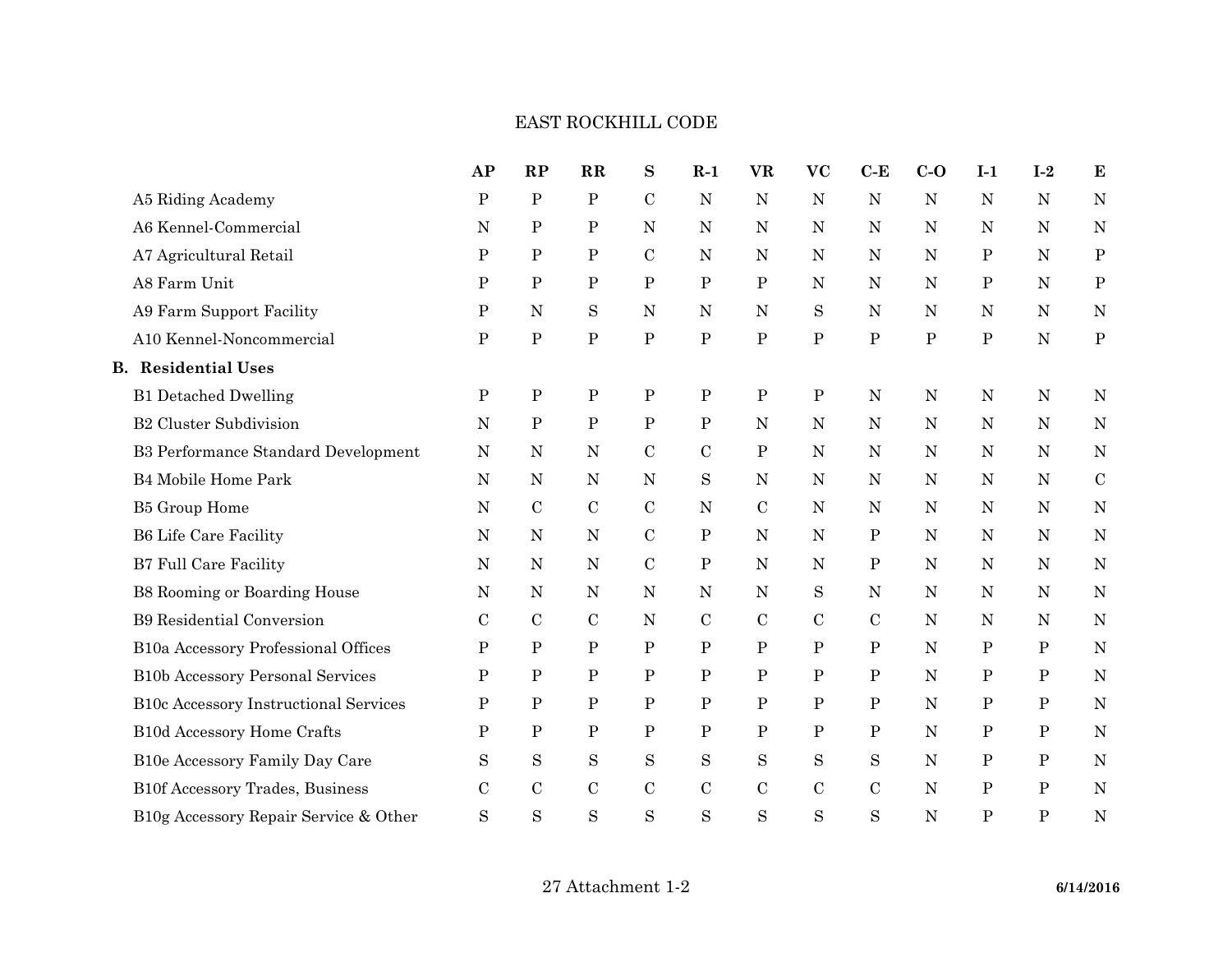## EAST ROCKHILL CODE

|                                            | AP            | RP            | $\mathbf{R}$ | $\bf S$       | $R-1$         | <b>VR</b>    | <b>VC</b>    | $C-E$        | $C-O$       | $I-1$        | $\mathbf{I}\text{-}\mathbf{2}$ | ${\bf E}$    |
|--------------------------------------------|---------------|---------------|--------------|---------------|---------------|--------------|--------------|--------------|-------------|--------------|--------------------------------|--------------|
| A5 Riding Academy                          | ${\bf P}$     | $\rm P$       | ${\bf P}$    | $\mathcal{C}$ | N             | $\mathbf N$  | $\mathbf N$  | ${\bf N}$    | $\mathbf N$ | N            | N                              | N            |
| A6 Kennel-Commercial                       | ${\bf N}$     | $\mathbf{P}$  | ${\bf P}$    | $\mathbf N$   | N             | $\mathbf N$  | ${\bf N}$    | ${\bf N}$    | N           | $\mathbf N$  | $\mathbf N$                    | $\mathbf N$  |
| A7 Agricultural Retail                     | ${\bf P}$     | $\, {\bf P}$  | ${\bf P}$    | $\mathcal{C}$ | N             | $\mathbf N$  | $\mathbf N$  | ${\bf N}$    | $\mathbf N$ | $\, {\bf P}$ | ${\bf N}$                      | $\, {\bf P}$ |
| A8 Farm Unit                               | P             | ${\bf P}$     | ${\bf P}$    | $\mathbf P$   | $\mathbf P$   | $\, {\bf P}$ | N            | N            | N           | P            | ${\bf N}$                      | $\mathbf P$  |
| A9 Farm Support Facility                   | ${\bf P}$     | ${\bf N}$     | $\mathbf S$  | $\mathbf N$   | N             | $\mathbf N$  | S            | ${\bf N}$    | N           | $\mathbf N$  | $\mathbf N$                    | $\mathbf N$  |
| A10 Kennel-Noncommercial                   | ${\bf P}$     | ${\bf P}$     | ${\bf P}$    | ${\bf P}$     | ${\bf P}$     | ${\bf P}$    | ${\bf P}$    | ${\bf P}$    | ${\bf P}$   | ${\bf P}$    | ${\bf N}$                      | $\rm P$      |
| <b>B.</b> Residential Uses                 |               |               |              |               |               |              |              |              |             |              |                                |              |
| <b>B1</b> Detached Dwelling                | ${\bf P}$     | ${\bf P}$     | ${\bf P}$    | ${\bf P}$     | ${\bf P}$     | $\mathbf P$  | ${\bf P}$    | ${\bf N}$    | $\mathbf N$ | $\mathbf N$  | $\mathbf N$                    | $\mathbf N$  |
| <b>B2 Cluster Subdivision</b>              | ${\bf N}$     | ${\bf P}$     | $\, {\bf P}$ | ${\bf P}$     | $\mathbf P$   | $\mathbf N$  | $\mathbf N$  | ${\bf N}$    | $\mathbf N$ | N            | ${\bf N}$                      | $\mathbf N$  |
| <b>B3 Performance Standard Development</b> | ${\bf N}$     | ${\bf N}$     | $\mathbf N$  | $\mathcal{C}$ | $\mathcal{C}$ | $\, {\bf P}$ | $\mathbf N$  | N            | N           | N            | ${\rm N}$                      | $\mathbf N$  |
| <b>B4 Mobile Home Park</b>                 | ${\bf N}$     | ${\bf N}$     | $\mathbf N$  | ${\bf N}$     | $\mathbf S$   | $\mathbf N$  | ${\rm N}$    | ${\bf N}$    | $\mathbf N$ | $\mathbf N$  | ${\bf N}$                      | ${\bf C}$    |
| <b>B5</b> Group Home                       | ${\rm N}$     | $\mathcal{C}$ | $\mathbf C$  | $\mathcal{C}$ | ${\rm N}$     | $\mathbf C$  | N            | N            | N           | N            | ${\bf N}$                      | N            |
| <b>B6 Life Care Facility</b>               | $\mathbf N$   | ${\bf N}$     | $\mathbf N$  | $\mathcal{C}$ | $\mathbf P$   | $\mathbf N$  | $\mathbf N$  | $\mathbf P$  | N           | N            | N                              | $\mathbf N$  |
| <b>B7 Full Care Facility</b>               | ${\bf N}$     | ${\bf N}$     | $\mathbf N$  | $\mathbf C$   | ${\bf P}$     | $\mathbf N$  | ${\bf N}$    | $\mathbf P$  | $\mathbf N$ | $\mathbf N$  | ${\bf N}$                      | $\mathbf N$  |
| B8 Rooming or Boarding House               | ${\bf N}$     | ${\bf N}$     | N            | $\mathbf N$   | N             | $\mathbf N$  | S            | ${\bf N}$    | $\mathbf N$ | N            | ${\bf N}$                      | $\mathbf N$  |
| <b>B9</b> Residential Conversion           | $\mathbf C$   | $\mathbf C$   | $\mathbf C$  | N             | $\mathcal{C}$ | $\mathbf C$  | $\mathbf C$  | $\mathbf C$  | $\mathbf N$ | $\mathbf N$  | N                              | $\mathbf N$  |
| B10a Accessory Professional Offices        | ${\bf P}$     | $\, {\bf P}$  | ${\bf P}$    | $\, {\bf P}$  | $\, {\bf P}$  | $\mathbf P$  | $\, {\bf P}$ | $\, {\bf P}$ | N           | ${\bf P}$    | $\, {\bf P}$                   | $\mathbf N$  |
| <b>B10b Accessory Personal Services</b>    | ${\bf P}$     | $\, {\bf P}$  | ${\bf P}$    | ${\bf P}$     | ${\bf P}$     | $\, {\bf P}$ | $\, {\bf P}$ | $\mathbf P$  | N           | ${\bf P}$    | $\, {\bf P}$                   | $\mathbf N$  |
| B10c Accessory Instructional Services      | $\mathbf P$   | ${\bf P}$     | $\, {\bf P}$ | ${\bf P}$     | ${\bf P}$     | ${\bf P}$    | $\, {\bf P}$ | $\, {\bf P}$ | N           | ${\bf P}$    | $\, {\bf P}$                   | $\mathbf N$  |
| B10d Accessory Home Crafts                 | ${\bf P}$     | ${\bf P}$     | ${\bf P}$    | ${\bf P}$     | ${\bf P}$     | ${\bf P}$    | ${\bf P}$    | ${\bf P}$    | N           | ${\bf P}$    | ${\bf P}$                      | $\mathbf N$  |
| B10e Accessory Family Day Care             | $\rm S$       | $\mathbf S$   | $\mathbf S$  | $\mathbf S$   | $\mathbf S$   | $\mathbf S$  | $\mathbf S$  | S            | $\mathbf N$ | ${\bf P}$    | $\, {\bf P}$                   | $\mathbf N$  |
| B10f Accessory Trades, Business            | $\mathcal{C}$ | $\mathcal{C}$ | $\mathbf C$  | $\mathbf C$   | $\mathcal{C}$ | $\mathbf C$  | $\mathbf C$  | $\mathbf C$  | N           | ${\bf P}$    | $\, {\bf P}$                   | $\mathbf N$  |
| B10g Accessory Repair Service & Other      | $\rm S$       | $\rm S$       | $\mathbf S$  | $\mathbf S$   | S             | S            | $\mathbf S$  | S            | N           | ${\bf P}$    | ${\bf P}$                      | $\mathbf N$  |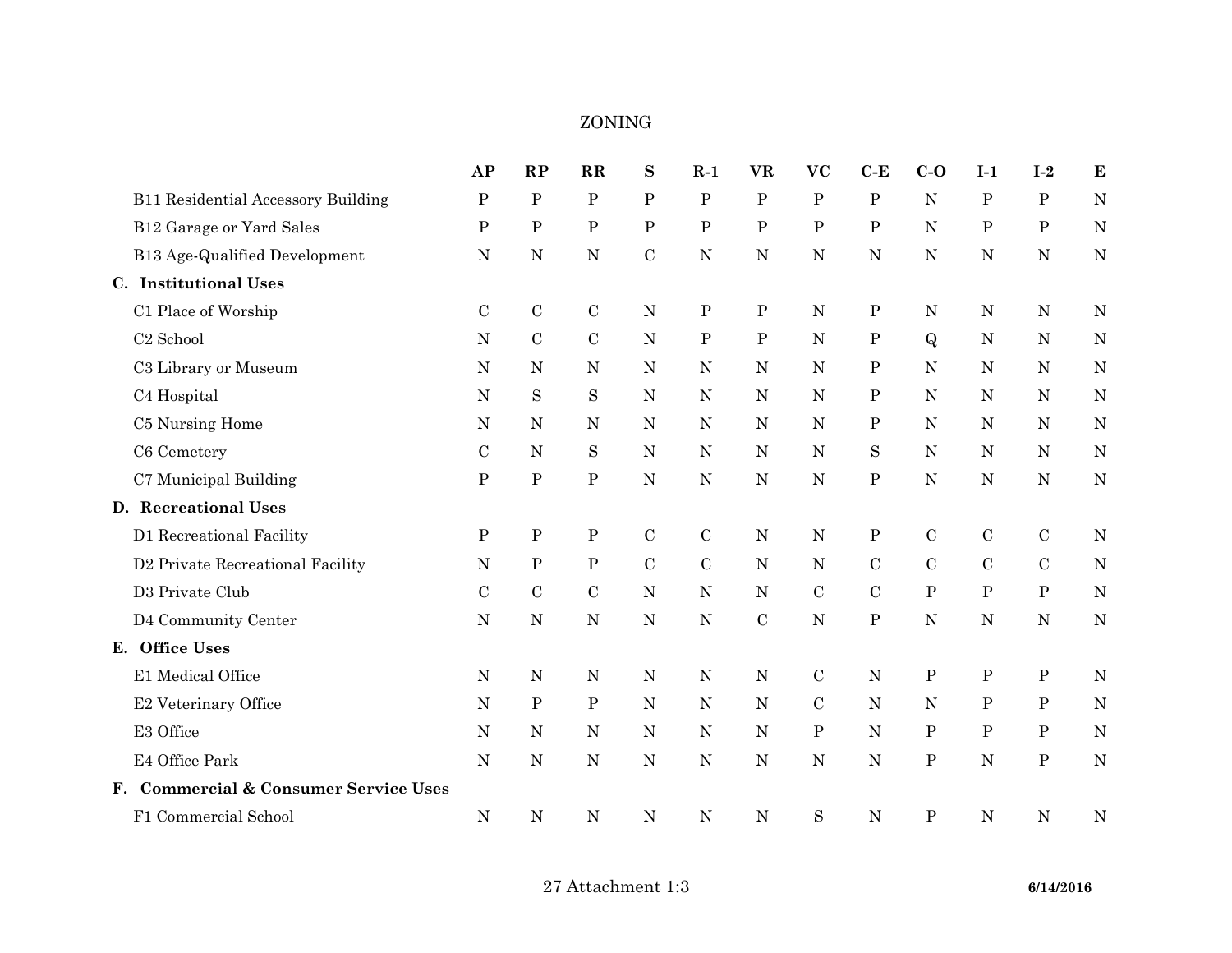## ZONING

|                                           | AP           | RP           | $\mathbf{R}$ | ${\bf S}$   | $R-1$        | <b>VR</b>    | <b>VC</b>    | $C-E$        | $C-O$          | $I-1$        | $I-2$        | $\bf{E}$    |
|-------------------------------------------|--------------|--------------|--------------|-------------|--------------|--------------|--------------|--------------|----------------|--------------|--------------|-------------|
| <b>B11 Residential Accessory Building</b> | $\mathbf{P}$ | $\, {\bf P}$ | ${\bf P}$    | ${\bf P}$   | $\mathbf P$  | ${\bf P}$    | $\mathbf P$  | $\, {\bf P}$ | $\overline{N}$ | $\mathbf{P}$ | $\mathbf{P}$ | N           |
| B12 Garage or Yard Sales                  | ${\bf P}$    | $\, {\bf P}$ | $\, {\bf P}$ | ${\bf P}$   | ${\bf P}$    | ${\bf P}$    | $\mathbf P$  | ${\bf P}$    | N              | $\mathbf P$  | ${\bf P}$    | $\mathbf N$ |
| B13 Age-Qualified Development             | $\mathbf N$  | ${\bf N}$    | $\mathbf N$  | $\mathbf C$ | ${\bf N}$    | $\mathbf N$  | $\mathbf N$  | $\mathbf N$  | $\mathbf N$    | $\mathbf N$  | ${\bf N}$    | $\mathbf N$ |
| C. Institutional Uses                     |              |              |              |             |              |              |              |              |                |              |              |             |
| C1 Place of Worship                       | $\mathbf C$  | $\mathbf C$  | $\mathbf C$  | N           | $\, {\bf P}$ | $\, {\bf P}$ | N            | $\mathbf P$  | ${\bf N}$      | $\mathbf N$  | ${\bf N}$    | N           |
| C <sub>2</sub> School                     | ${\bf N}$    | $\mathbf C$  | ${\bf C}$    | ${\bf N}$   | ${\bf P}$    | ${\bf P}$    | $\mathbf N$  | $\, {\bf P}$ | $\mathbf{Q}$   | $\mathbf N$  | ${\bf N}$    | $\mathbf N$ |
| C3 Library or Museum                      | $\mathbf N$  | ${\bf N}$    | $\mathbf N$  | ${\bf N}$   | N            | $\mathbf N$  | $\mathbf N$  | ${\bf P}$    | $\mathbf N$    | N            | ${\rm N}$    | $\mathbf N$ |
| C4 Hospital                               | $\mathbf N$  | $\mathbf S$  | $\mathbf S$  | ${\bf N}$   | N            | $\mathbf N$  | $\mathbf N$  | ${\bf P}$    | $\mathbf N$    | N            | ${\bf N}$    | $\mathbf N$ |
| C5 Nursing Home                           | $\mathbf N$  | ${\bf N}$    | $\mathbf N$  | $\mathbf N$ | $\mathbf N$  | $\mathbf N$  | $\mathbf N$  | ${\bf P}$    | $\mathbf N$    | N            | ${\bf N}$    | $\mathbf N$ |
| C6 Cemetery                               | $\mathbf C$  | ${\bf N}$    | S            | $\mathbf N$ | $\mathbf N$  | $\mathbf N$  | ${\bf N}$    | S            | $\mathbf N$    | $\mathbf N$  | ${\bf N}$    | $\mathbf N$ |
| C7 Municipal Building                     | ${\bf P}$    | $\, {\bf P}$ | ${\bf P}$    | ${\bf N}$   | ${\bf N}$    | ${\bf N}$    | ${\bf N}$    | ${\bf P}$    | $\mathbf N$    | ${\bf N}$    | ${\bf N}$    | $\mathbf N$ |
| D. Recreational Uses                      |              |              |              |             |              |              |              |              |                |              |              |             |
| D1 Recreational Facility                  | $\mathbf P$  | $\, {\bf P}$ | $\, {\bf P}$ | $\mathbf C$ | $\mathbf C$  | N            | N            | ${\bf P}$    | $\mathbf C$    | ${\bf C}$    | $\mathbf C$  | $\mathbf N$ |
| D2 Private Recreational Facility          | $\mathbf N$  | ${\bf P}$    | $\, {\bf P}$ | $\mathbf C$ | $\mathbf C$  | $\mathbf N$  | $\mathbf N$  | $\mathbf C$  | $\mathbf C$    | ${\bf C}$    | ${\bf C}$    | $\mathbf N$ |
| D3 Private Club                           | $\mathbf C$  | ${\bf C}$    | ${\bf C}$    | ${\bf N}$   | $\mathbf N$  | ${\bf N}$    | $\mathbf C$  | $\mathbf C$  | ${\bf P}$      | $\, {\bf P}$ | ${\bf P}$    | $\mathbf N$ |
| D4 Community Center                       | $\mathbf N$  | ${\bf N}$    | ${\bf N}$    | ${\bf N}$   | ${\bf N}$    | $\mathbf C$  | ${\bf N}$    | ${\bf P}$    | $\mathbf N$    | ${\bf N}$    | $\mathbf N$  | $\mathbf N$ |
| E. Office Uses                            |              |              |              |             |              |              |              |              |                |              |              |             |
| E1 Medical Office                         | ${\bf N}$    | ${\bf N}$    | ${\bf N}$    | ${\bf N}$   | N            | $\mathbf N$  | $\mathbf C$  | ${\bf N}$    | ${\bf P}$      | ${\bf P}$    | $\, {\bf P}$ | $\mathbf N$ |
| E2 Veterinary Office                      | $\mathbf N$  | $\, {\bf P}$ | $\, {\bf P}$ | $\mathbf N$ | N            | N            | ${\bf C}$    | $\mathbf N$  | N              | $\mathbf P$  | $\mathbf P$  | $\mathbf N$ |
| E3 Office                                 | $\mathbf N$  | ${\bf N}$    | ${\bf N}$    | ${\bf N}$   | ${\bf N}$    | $\mathbf N$  | $\, {\bf P}$ | $\mathbf N$  | ${\bf P}$      | $\mathbf P$  | ${\bf P}$    | $\mathbf N$ |
| E4 Office Park                            | $\mathbf N$  | ${\bf N}$    | $\mathbf N$  | ${\bf N}$   | N            | $\mathbf N$  | $\mathbf N$  | ${\bf N}$    | $\, {\bf P}$   | $\mathbf N$  | ${\bf P}$    | $\mathbf N$ |
| F. Commercial & Consumer Service Uses     |              |              |              |             |              |              |              |              |                |              |              |             |
| F1 Commercial School                      | ${\bf N}$    | ${\bf N}$    | $\mathbf N$  | $\mathbf N$ | $\mathbf N$  | $\mathbf N$  | $\mathbf S$  | $\mathbf N$  | ${\bf P}$      | N            | ${\bf N}$    | $\mathbf N$ |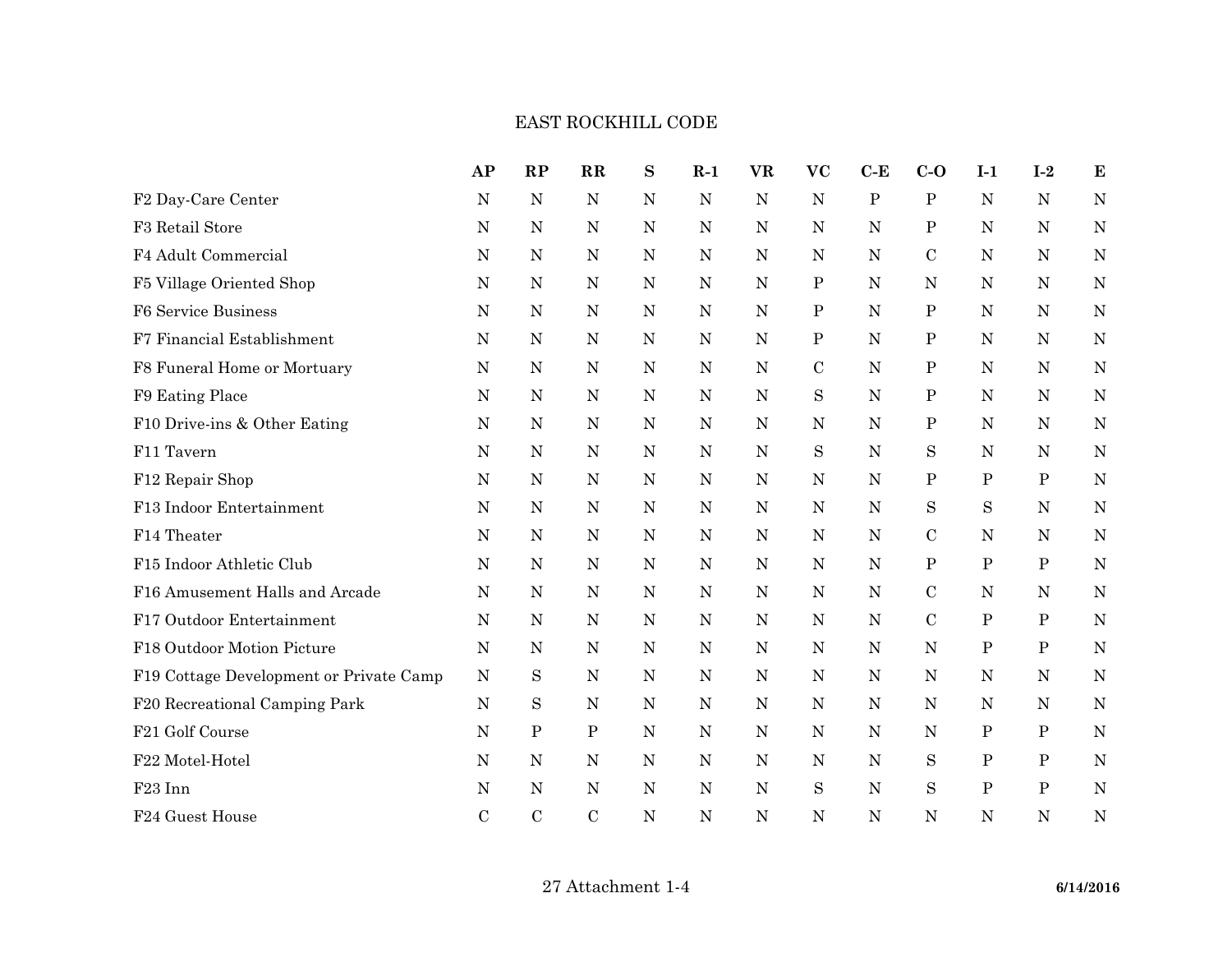## EAST ROCKHILL CODE

|                                         | AP            | RP          | $\mathbf{R}$ | S           | $R-1$       | <b>VR</b>   | <b>VC</b>    | $C-E$        | $C-O$         | $I-1$        | $I-2$        | ${\bf E}$   |
|-----------------------------------------|---------------|-------------|--------------|-------------|-------------|-------------|--------------|--------------|---------------|--------------|--------------|-------------|
| F2 Day-Care Center                      | N             | $\mathbf N$ | $\mathbf N$  | N           | $\mathbf N$ | $\mathbf N$ | N            | $\, {\bf P}$ | ${\bf P}$     | $\mathbf N$  | N            | N           |
| F3 Retail Store                         | $\mathbf N$   | ${\bf N}$   | N            | $\mathbf N$ | $\mathbf N$ | ${\bf N}$   | N            | $\mathbf N$  | Ρ             | N            | ${\rm N}$    | $\mathbf N$ |
| F4 Adult Commercial                     | N             | $\mathbf N$ | N            | $\mathbf N$ | $\mathbf N$ | ${\rm N}$   | $\mathbf N$  | ${\rm N}$    | $\mathcal{C}$ | $\mathbf N$  | N            | $\mathbf N$ |
| F5 Village Oriented Shop                | N             | N           | N            | N           | $\mathbf N$ | ${\rm N}$   | $\mathbf P$  | $\mathbf N$  | N             | N            | N            | N           |
| F6 Service Business                     | ${\rm N}$     | ${\bf N}$   | ${\bf N}$    | N           | ${\bf N}$   | ${\bf N}$   | $\mathbf P$  | $\mathbf N$  | ${\bf P}$     | ${\rm N}$    | N            | ${\bf N}$   |
| F7 Financial Establishment              | N             | ${\bf N}$   | $\mathbf N$  | N           | $\mathbf N$ | ${\bf N}$   | $\, {\bf P}$ | ${\rm N}$    | $\, {\bf P}$  | ${\bf N}$    | N            | $\mathbf N$ |
| F8 Funeral Home or Mortuary             | N             | N           | N            | N           | N           | $\mathbf N$ | $\mathbf C$  | N            | ${\bf P}$     | N            | N            | N           |
| F9 Eating Place                         | $\mathbf N$   | $\mathbf N$ | ${\bf N}$    | ${\bf N}$   | ${\bf N}$   | ${\bf N}$   | $\mathbf S$  | N            | ${\bf P}$     | $\mathbf N$  | ${\bf N}$    | ${\bf N}$   |
| F10 Drive-ins & Other Eating            | $\mathbf N$   | ${\rm N}$   | N            | N           | ${\bf N}$   | $\mathbf N$ | $\mathbf N$  | $\mathbf N$  | ${\bf P}$     | $\mathbf N$  | N            | ${\bf N}$   |
| F11 Tavern                              | N             | ${\rm N}$   | N            | N           | ${\bf N}$   | $\mathbf N$ | $\rm S$      | N            | S             | N            | N            | N           |
| F12 Repair Shop                         | ${\bf N}$     | ${\rm N}$   | N            | N           | ${\bf N}$   | $\mathbf N$ | $\mathbf N$  | $\mathbf N$  | ${\bf P}$     | ${\bf P}$    | $\, {\bf P}$ | $\mathbf N$ |
| F13 Indoor Entertainment                | $\mathbf N$   | $\mathbf N$ | N            | N           | ${\bf N}$   | $\mathbf N$ | N            | $\mathbf N$  | S             | S            | $\mathbf N$  | N           |
| F14 Theater                             | N             | N           | N            | N           | $\mathbf N$ | $\mathbf N$ | N            | N            | $\mathbf C$   | N            | N            | N           |
| F15 Indoor Athletic Club                | $\mathbf N$   | ${\rm N}$   | ${\bf N}$    | ${\bf N}$   | $\mathbf N$ | ${\bf N}$   | $\mathbf N$  | $\mathbf N$  | ${\bf P}$     | ${\bf P}$    | ${\bf P}$    | $\mathbf N$ |
| F16 Amusement Halls and Arcade          | $\mathbf N$   | $\mathbf N$ | ${\bf N}$    | $\mathbf N$ | $\mathbf N$ | ${\bf N}$   | $\mathbf N$  | $\mathbf N$  | $\mathbf C$   | $\mathbf N$  | $\mathbf N$  | ${\bf N}$   |
| F17 Outdoor Entertainment               | N             | $\mathbf N$ | N            | N           | $\mathbf N$ | ${\bf N}$   | N            | ${\rm N}$    | $\mathbf C$   | $\, {\bf P}$ | ${\bf P}$    | $\mathbf N$ |
| F18 Outdoor Motion Picture              | $\mathbf N$   | ${\bf N}$   | N            | N           | $\mathbf N$ | ${\bf N}$   | N            | ${\bf N}$    | ${\bf N}$     | $\, {\bf P}$ | $\, {\bf P}$ | $\mathbf N$ |
| F19 Cottage Development or Private Camp | $\mathbf N$   | S           | $\mathbf N$  | N           | ${\bf N}$   | ${\bf N}$   | N            | $\mathbf N$  | ${\bf N}$     | $\mathbf N$  | N            | N           |
| F20 Recreational Camping Park           | N             | S           | N            | N           | N           | ${\rm N}$   | N            | $\mathbf N$  | N             | N            | N            | $\mathbf N$ |
| F21 Golf Course                         | N             | $\mathbf P$ | $\mathbf P$  | N           | ${\bf N}$   | ${\bf N}$   | N            | ${\rm N}$    | N             | Ρ            | $\mathbf P$  | $\mathbf N$ |
| F22 Motel-Hotel                         | N             | N           | ${\rm N}$    | N           | ${\bf N}$   | $\mathbf N$ | N            | $\mathbf N$  | S             | ${\bf P}$    | $\mathbf P$  | $\mathbf N$ |
| F <sub>23</sub> Inn                     | N             | N           | N            | N           | N           | $\mathbf N$ | S            | N            | S             | $\mathbf{P}$ | $\mathbf{P}$ | N           |
| F24 Guest House                         | $\mathcal{C}$ | $\mathbf C$ | $\mathbf C$  | N           | N           | ${\bf N}$   | N            | N            | N             | N            | $\mathbf N$  | $\mathbf N$ |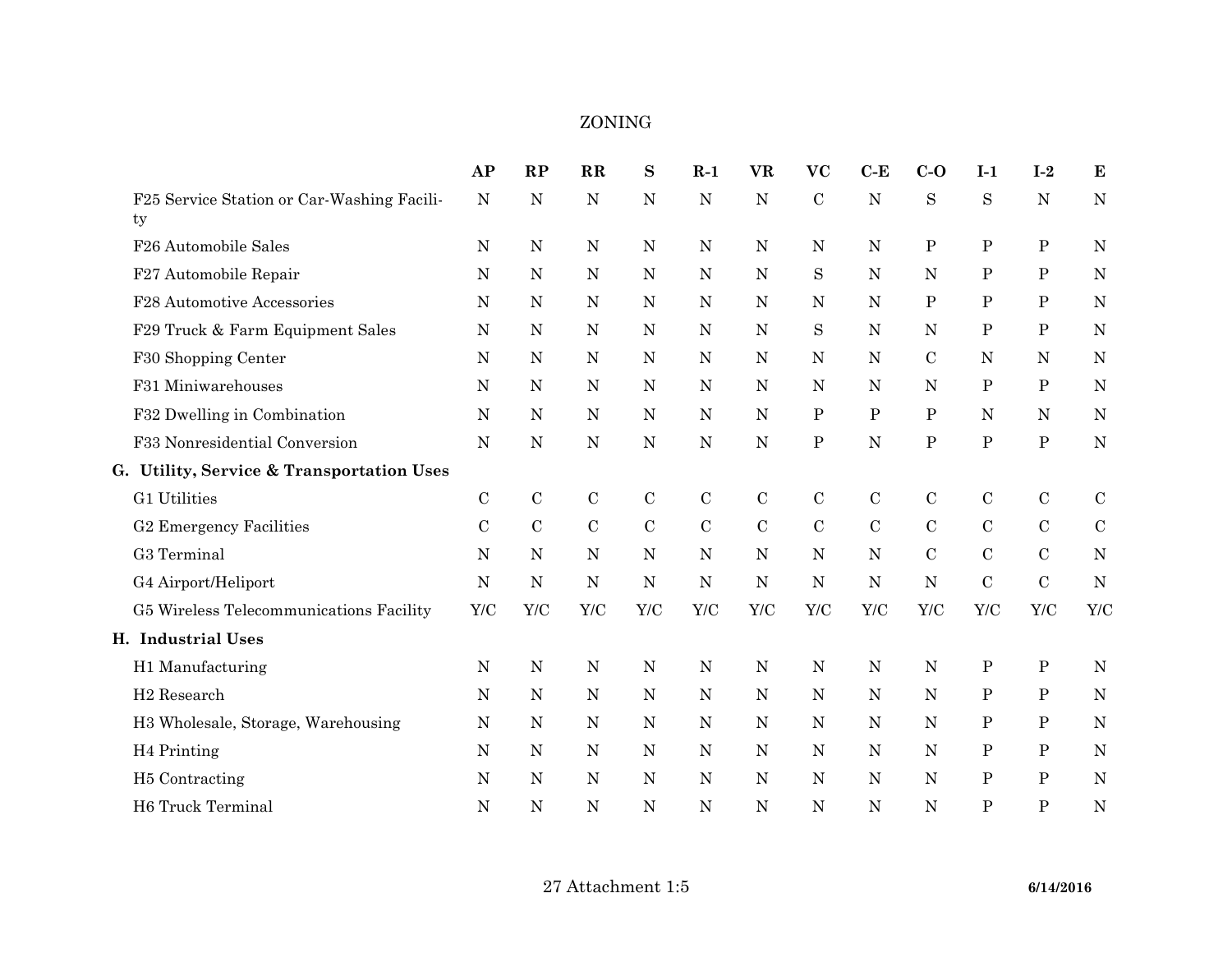|                                                  | AP            | RP          | $\mathbf{R}$  | $\bf S$     | $R-1$       | <b>VR</b>   | <b>VC</b>    | $C-E$        | $C-O$        | $I-1$          | $I-2$        | $\bf{E}$    |
|--------------------------------------------------|---------------|-------------|---------------|-------------|-------------|-------------|--------------|--------------|--------------|----------------|--------------|-------------|
| F25 Service Station or Car-Washing Facili-<br>ty | N             | N           | N             | ${\bf N}$   | ${\bf N}$   | ${\bf N}$   | $\mathbf C$  | $\mathbf N$  | S            | S              | ${\bf N}$    | $\mathbf N$ |
| F26 Automobile Sales                             | ${\bf N}$     | ${\bf N}$   | N             | ${\bf N}$   | ${\bf N}$   | ${\bf N}$   | $\mathbf N$  | N            | $\, {\bf P}$ | $\mathbf P$    | ${\bf P}$    | $\mathbf N$ |
| F27 Automobile Repair                            | N             | ${\bf N}$   | N             | ${\bf N}$   | ${\bf N}$   | $\mathbf N$ | S            | $\mathbf N$  | ${\bf N}$    | $\mathbf P$    | ${\bf P}$    | N           |
| F28 Automotive Accessories                       | N             | ${\bf N}$   | $\mathbf N$   | N           | ${\bf N}$   | $\mathbf N$ | N            | N            | $\mathbf P$  | $\mathbf P$    | $\mathbf P$  | N           |
| F29 Truck & Farm Equipment Sales                 | N             | N           | $\mathbf N$   | ${\bf N}$   | ${\bf N}$   | ${\bf N}$   | S            | $\mathbf N$  | $\mathbf N$  | $\, {\bf P}$   | $\mathbf P$  | $\mathbf N$ |
| F30 Shopping Center                              | ${\bf N}$     | ${\bf N}$   | $\mathbf N$   | ${\bf N}$   | $\mathbf N$ | ${\bf N}$   | $\mathbf N$  | $\mathbf N$  | $\mathbf C$  | $\mathbf N$    | $\mathbf N$  | N           |
| F31 Miniwarehouses                               | $\mathbf N$   | N           | N             | ${\bf N}$   | $\mathbf N$ | $\mathbf N$ | $\mathbf N$  | $\mathbf N$  | N            | $\mathbf P$    | $\, {\bf P}$ | N           |
| F32 Dwelling in Combination                      | N             | $\mathbf N$ | N             | ${\bf N}$   | ${\bf N}$   | $\mathbf N$ | $\mathbf{P}$ | $\mathbf{P}$ | P            | N              | ${\bf N}$    | N           |
| F33 Nonresidential Conversion                    | N             | $\mathbf N$ | $\mathbf N$   | N           | ${\bf N}$   | ${\bf N}$   | ${\bf P}$    | ${\bf N}$    | ${\bf P}$    | ${\bf P}$      | ${\bf P}$    | $\mathbf N$ |
| G. Utility, Service & Transportation Uses        |               |             |               |             |             |             |              |              |              |                |              |             |
| G1 Utilities                                     | $\mathbf C$   | $\mathbf C$ | $\mathbf C$   | $\mathbf C$ | ${\bf C}$   | $\mathbf C$ | $\mathbf C$  | $\mathbf C$  | $\mathbf C$  | $\mathbf C$    | ${\bf C}$    | $\mathbf C$ |
| G2 Emergency Facilities                          | $\mathcal{C}$ | $\mathbf C$ | $\mathcal{C}$ | $\mathbf C$ | ${\bf C}$   | $\mathbf C$ | $\mathbf C$  | $\mathbf C$  | ${\bf C}$    | $\mathbf C$    | $\mathbf C$  | ${\bf C}$   |
| G3 Terminal                                      | N             | $\mathbf N$ | N             | ${\bf N}$   | ${\bf N}$   | $\mathbf N$ | $\mathbf N$  | $\mathbf N$  | $\mathbf C$  | $\mathcal{C}$  | $\mathbf C$  | N           |
| G4 Airport/Heliport                              | N             | ${\bf N}$   | N             | ${\bf N}$   | $\mathbf N$ | ${\bf N}$   | $\mathbf N$  | $\mathbf N$  | $\mathbf N$  | $\mathcal{C}$  | ${\bf C}$    | N           |
| G5 Wireless Telecommunications Facility          | Y/C           | Y/C         | Y/C           | ${\it Y/C}$ | Y/C         | Y/C         | Y/C          | Y/C          | ${\it Y/C}$  | Y/C            | Y/C          | Y/C         |
| H. Industrial Uses                               |               |             |               |             |             |             |              |              |              |                |              |             |
| H1 Manufacturing                                 | N             | $\mathbf N$ | N             | ${\bf N}$   | ${\bf N}$   | ${\bf N}$   | $\mathbf N$  | ${\bf N}$    | ${\bf N}$    | ${\bf P}$      | ${\bf P}$    | $\mathbf N$ |
| H <sub>2</sub> Research                          | N             | $\mathbf N$ | $\mathbf N$   | ${\bf N}$   | $\mathbf N$ | ${\bf N}$   | N            | $\mathbf N$  | $\mathbf N$  | $\mathbf P$    | $\, {\bf P}$ | N           |
| H3 Wholesale, Storage, Warehousing               | N             | ${\bf N}$   | N             | ${\bf N}$   | $\mathbf N$ | ${\bf N}$   | N            | $\mathbf N$  | $\mathbf N$  | $\mathbf P$    | ${\bf P}$    | $\mathbf N$ |
| H <sub>4</sub> Printing                          | N             | ${\bf N}$   | N             | ${\bf N}$   | $\mathbf N$ | ${\bf N}$   | $\mathbf N$  | $\mathbf N$  | ${\bf N}$    | $\mathbf P$    | $\mathbf P$  | N           |
| H <sub>5</sub> Contracting                       | N             | N           | N             | N           | $\mathbf N$ | N           | N            | N            | N            | $\mathbf P$    | $\, {\bf P}$ | N           |
| H6 Truck Terminal                                | N             | N           | N             | $\mathbf N$ | ${\bf N}$   | ${\bf N}$   | $\mathbf N$  | ${\bf N}$    | ${\bf N}$    | $\overline{P}$ | ${\bf P}$    | $\mathbf N$ |

## ZONING